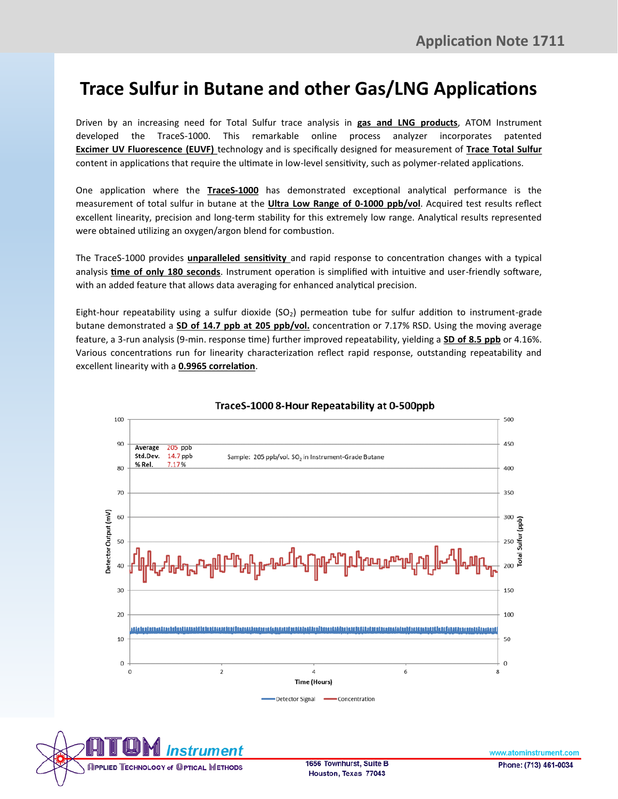## **Trace Sulfur in Butane and other Gas/LNG Applications**

Driven by an increasing need for Total Sulfur trace analysis in **gas and LNG products**, ATOM Instrument developed the TraceS-1000. This remarkable online process analyzer incorporates patented **Excimer UV Fluorescence (EUVF)** technology and is specifically designed for measurement of **Trace Total Sulfur**  content in applications that require the ultimate in low-level sensitivity, such as polymer-related applications.

One application where the **TraceS-1000** has demonstrated exceptional analytical performance is the measurement of total sulfur in butane at the **Ultra Low Range of 0-1000 ppb/vol**. Acquired test results reflect excellent linearity, precision and long-term stability for this extremely low range. Analytical results represented were obtained utilizing an oxygen/argon blend for combustion.

The TraceS-1000 provides **unparalleled sensitivity** and rapid response to concentration changes with a typical analysis **time of only 180 seconds**. Instrument operation is simplified with intuitive and user-friendly software, with an added feature that allows data averaging for enhanced analytical precision.

Eight-hour repeatability using a sulfur dioxide ( $SO<sub>2</sub>$ ) permeation tube for sulfur addition to instrument-grade butane demonstrated a **SD of 14.7 ppb at 205 ppb/vol.** concentration or 7.17% RSD. Using the moving average feature, a 3-run analysis (9-min. response time) further improved repeatability, yielding a **SD of 8.5 ppb** or 4.16%. Various concentrations run for linearity characterization reflect rapid response, outstanding repeatability and excellent linearity with a **0.9965 correlation**.



## TraceS-1000 8-Hour Repeatability at 0-500ppb